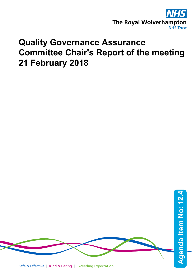

## **Quality Governance Assurance Committee Chair's Report of the meeting 21 February 2018**

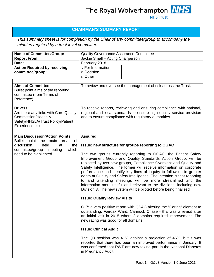## **CHAIRMAN'S SUMMARY REPORT**

*This summary sheet is for completion by the Chair of any committee/group to accompany the minutes required by a trust level committee.* 

| <b>Name of Committee/Group:</b>                                                                                                         | <b>Quality Governance Assurance Committee</b>                                                                                                                                                                                                                                                                                                                                                                                                                                                                                                                                                                                                                                                                                                                                                                                                                                                                                                                                                                                                                                                                                                                                                                                                                                                              |                                                                |
|-----------------------------------------------------------------------------------------------------------------------------------------|------------------------------------------------------------------------------------------------------------------------------------------------------------------------------------------------------------------------------------------------------------------------------------------------------------------------------------------------------------------------------------------------------------------------------------------------------------------------------------------------------------------------------------------------------------------------------------------------------------------------------------------------------------------------------------------------------------------------------------------------------------------------------------------------------------------------------------------------------------------------------------------------------------------------------------------------------------------------------------------------------------------------------------------------------------------------------------------------------------------------------------------------------------------------------------------------------------------------------------------------------------------------------------------------------------|----------------------------------------------------------------|
| <b>Report From:</b>                                                                                                                     | Jackie Small - Acting Chairperson                                                                                                                                                                                                                                                                                                                                                                                                                                                                                                                                                                                                                                                                                                                                                                                                                                                                                                                                                                                                                                                                                                                                                                                                                                                                          |                                                                |
| Date:                                                                                                                                   | February 2018                                                                                                                                                                                                                                                                                                                                                                                                                                                                                                                                                                                                                                                                                                                                                                                                                                                                                                                                                                                                                                                                                                                                                                                                                                                                                              |                                                                |
| <b>Action Required by receiving</b><br>committee/group:                                                                                 | $\sqrt{\text{For}}$ Information<br>$\Box$ Decision<br>$\Box$ Other                                                                                                                                                                                                                                                                                                                                                                                                                                                                                                                                                                                                                                                                                                                                                                                                                                                                                                                                                                                                                                                                                                                                                                                                                                         |                                                                |
|                                                                                                                                         |                                                                                                                                                                                                                                                                                                                                                                                                                                                                                                                                                                                                                                                                                                                                                                                                                                                                                                                                                                                                                                                                                                                                                                                                                                                                                                            |                                                                |
| <b>Aims of Committee:</b><br>Bullet point aims of the reporting<br>committee (from Terms of<br>Reference)                               |                                                                                                                                                                                                                                                                                                                                                                                                                                                                                                                                                                                                                                                                                                                                                                                                                                                                                                                                                                                                                                                                                                                                                                                                                                                                                                            | To review and oversee the management of risk across the Trust. |
| <b>Drivers:</b><br>Are there any links with Care Quality<br>Commission/Health &<br>Safety/NHSLA/Trust Policy/Patient<br>Experience etc. | To receive reports, reviewing and ensuring compliance with national,<br>regional and local standards to ensure high quality service provision<br>and to ensure compliance with regulatory authorities.                                                                                                                                                                                                                                                                                                                                                                                                                                                                                                                                                                                                                                                                                                                                                                                                                                                                                                                                                                                                                                                                                                     |                                                                |
| <b>Main Discussion/Action Points:</b>                                                                                                   |                                                                                                                                                                                                                                                                                                                                                                                                                                                                                                                                                                                                                                                                                                                                                                                                                                                                                                                                                                                                                                                                                                                                                                                                                                                                                                            |                                                                |
| Bullet point the main areas of<br>discussion<br>held<br>the<br>at<br>which<br>committee/group<br>meeting<br>need to be highlighted      | <b>Assured</b><br><b>Issue: new structure for groups reporting to QGAC</b><br>The two groups currently reporting to QGAC, the Patient Safety<br>Improvement Group and Quality Standards Action Group, will be<br>replaced by two new groups, Compliance Oversight and Quality and<br>Safety Intelligence. The former will receive information on corporate<br>performance and identify key lines of inquiry to follow up in greater<br>depth at Quality and Safety Intelligence. The intention is that reporting<br>to and attending meetings will be more streamlined and the<br>information more useful and relevant to the divisions, including new<br>Division 3. The new system will be piloted before being finalised.<br><b>Issue: Quality Review Visits</b><br>C17: a very positive report with QSAG altering the "Caring" element to<br>outstanding. Fairoak Ward, Cannock Chase - this was a revisit after<br>an initial visit in 2015 where 3 domains required improvement. The<br>new rating was good for all domains.<br><b>Issue: Clinical Audit</b><br>The Q3 position was 41% against a projection of 46%, but it was<br>reported that there had been an improved performance in January. It<br>was confirmed that RWT are now taking part in the National Diabetes<br>in Pregnancy Audit. |                                                                |